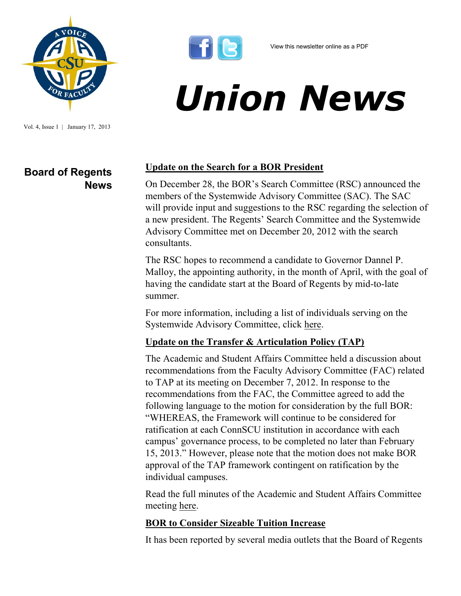

Vol. 4, Issue 1 | January 17, 2013

**Board of Regents** 

**News**



# *Union News*

#### **Update on the Search for a BOR President**

On December 28, the BOR's Search Committee (RSC) announced the members of the Systemwide Advisory Committee (SAC). The SAC will provide input and suggestions to the RSC regarding the selection of a new president. The Regents' Search Committee and the Systemwide Advisory Committee met on December 20, 2012 with the search consultants.

The RSC hopes to recommend a candidate to Governor Dannel P. Malloy, the appointing authority, in the month of April, with the goal of having the candidate start at the Board of Regents by mid-to-late summer.

For more information, including a list of individuals serving on the Systemwide Advisory Committee, click [here.](http://www.ct.edu/newsroom/presidential_search_committee_announces_advisory_search_committee_members_t)

### **Update on the Transfer & Articulation Policy (TAP)**

The Academic and Student Affairs Committee held a discussion about recommendations from the Faculty Advisory Committee (FAC) related to TAP at its meeting on December 7, 2012. In response to the recommendations from the FAC, the Committee agreed to add the following language to the motion for consideration by the full BOR: "WHEREAS, the Framework will continue to be considered for ratification at each ConnSCU institution in accordance with each campus' governance process, to be completed no later than February 15, 2013." However, please note that the motion does not make BOR approval of the TAP framework contingent on ratification by the individual campuses.

Read the full minutes of the Academic and Student Affairs Committee meeting [here.](http://www.ct.edu/images/uploads/ASA-Minutes_12-07-2012.pdf) 

### **BOR to Consider Sizeable Tuition Increase**

It has been reported by several media outlets that the Board of Regents